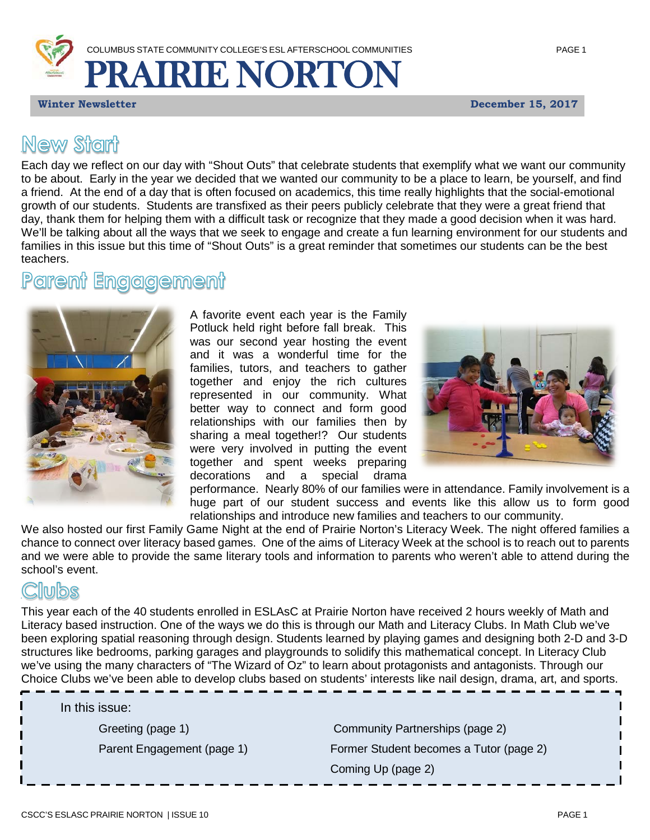

*Winter* **Newsletter December 15, 2017** 

## **New Start**

Each day we reflect on our day with "Shout Outs" that celebrate students that exemplify what we want our community to be about. Early in the year we decided that we wanted our community to be a place to learn, be yourself, and find a friend. At the end of a day that is often focused on academics, this time really highlights that the social-emotional growth of our students. Students are transfixed as their peers publicly celebrate that they were a great friend that day, thank them for helping them with a difficult task or recognize that they made a good decision when it was hard. We'll be talking about all the ways that we seek to engage and create a fun learning environment for our students and families in this issue but this time of "Shout Outs" is a great reminder that sometimes our students can be the best teachers.

#### <u>Paremit</u> **Engggement**



A favorite event each year is the Family Potluck held right before fall break. This was our second year hosting the event and it was a wonderful time for the families, tutors, and teachers to gather together and enjoy the rich cultures represented in our community. What better way to connect and form good relationships with our families then by sharing a meal together!? Our students were very involved in putting the event together and spent weeks preparing decorations and a special drama



performance. Nearly 80% of our families were in attendance. Family involvement is a huge part of our student success and events like this allow us to form good relationships and introduce new families and teachers to our community.

We also hosted our first Family Game Night at the end of Prairie Norton's Literacy Week. The night offered families a chance to connect over literacy based games. One of the aims of Literacy Week at the school is to reach out to parents and we were able to provide the same literary tools and information to parents who weren't able to attend during the school's event.

### nnbe

This year each of the 40 students enrolled in ESLAsC at Prairie Norton have received 2 hours weekly of Math and Literacy based instruction. One of the ways we do this is through our Math and Literacy Clubs. In Math Club we've been exploring spatial reasoning through design. Students learned by playing games and designing both 2-D and 3-D structures like bedrooms, parking garages and playgrounds to solidify this mathematical concept. In Literacy Club we've using the many characters of "The Wizard of Oz" to learn about protagonists and antagonists. Through our Choice Clubs we've been able to develop clubs based on students' interests like nail design, drama, art, and sports.

In this issue:

Greeting (page 1) Community Partnerships (page 2) Parent Engagement (page 1) Former Student becomes a Tutor (page 2) Coming Up (page 2)